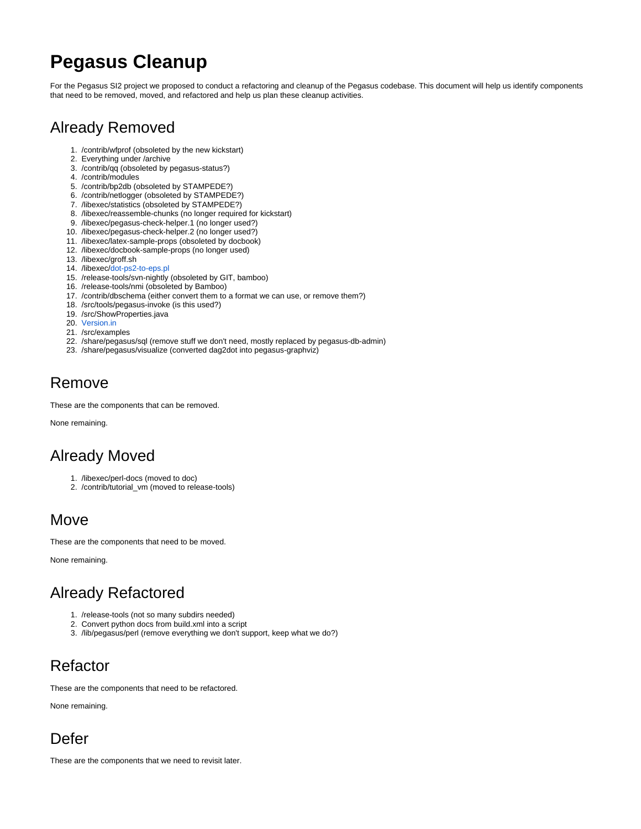# **Pegasus Cleanup**

For the Pegasus SI2 project we proposed to conduct a refactoring and cleanup of the Pegasus codebase. This document will help us identify components that need to be removed, moved, and refactored and help us plan these cleanup activities.

## Already Removed

- 1. /contrib/wfprof (obsoleted by the new kickstart)
- 2. Everything under /archive
- 3. /contrib/qq (obsoleted by pegasus-status?)
- 4. /contrib/modules
- 5. /contrib/bp2db (obsoleted by STAMPEDE?)
- 6. /contrib/netlogger (obsoleted by STAMPEDE?)
- 7. /libexec/statistics (obsoleted by STAMPEDE?)
- 8. /libexec/reassemble-chunks (no longer required for kickstart)
- 9. /libexec/pegasus-check-helper.1 (no longer used?)
- 10. /libexec/pegasus-check-helper.2 (no longer used?)
- 11. /libexec/latex-sample-props (obsoleted by docbook)
- 12. /libexec/docbook-sample-props (no longer used)
- 13. /libexec/groff.sh
- 14. /libexec/[dot-ps2-to-eps.pl](http://dot-ps2-to-eps.pl)
- 15. /release-tools/svn-nightly (obsoleted by GIT, bamboo)
- 16. /release-tools/nmi (obsoleted by Bamboo)
- 17. /contrib/dbschema (either convert them to a format we can use, or remove them?)
- 18. /src/tools/pegasus-invoke (is this used?)
- 19. /src/ShowProperties.java
- 20. [Version.in](http://Version.in)
- 21. /src/examples
- 22. /share/pegasus/sql (remove stuff we don't need, mostly replaced by pegasus-db-admin)
- 23. /share/pegasus/visualize (converted dag2dot into pegasus-graphviz)

### Remove

These are the components that can be removed.

None remaining.

#### Already Moved

- 1. /libexec/perl-docs (moved to doc)
- 2. /contrib/tutorial\_vm (moved to release-tools)

#### **Move**

These are the components that need to be moved.

None remaining.

## Already Refactored

- 1. /release-tools (not so many subdirs needed)
- 2. Convert python docs from build.xml into a script
- 3. /lib/pegasus/perl (remove everything we don't support, keep what we do?)

## Refactor

These are the components that need to be refactored.

None remaining.

## Defer

These are the components that we need to revisit later.